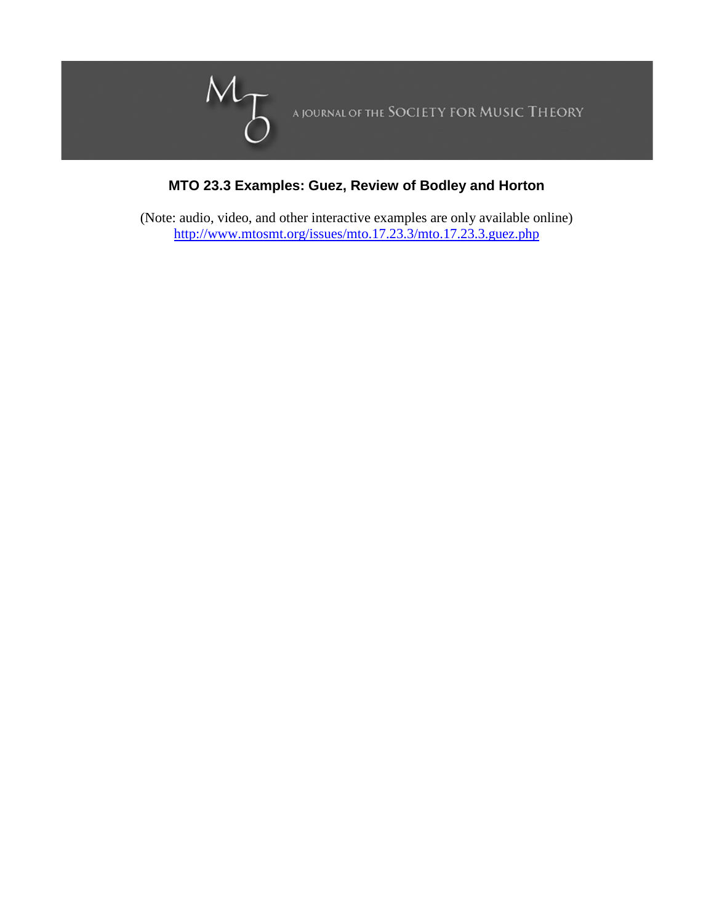

## **MTO 23.3 Examples: Guez, Review of Bodley and Horton**

(Note: audio, video, and other interactive examples are only available online) <http://www.mtosmt.org/issues/mto.17.23.3/mto.17.23.3.guez.php>